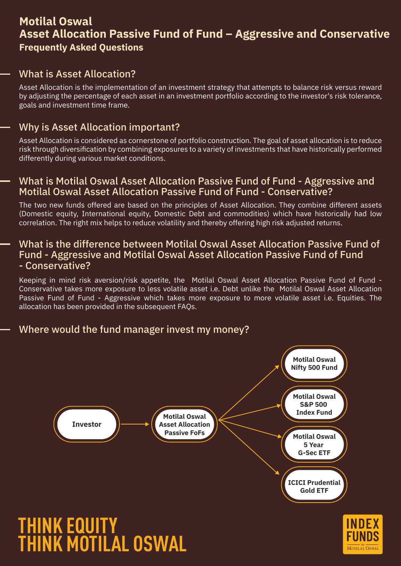# **Motilal Oswal Asset Allocation Passive Fund of Fund – Aggressive and Conservative Frequently Asked Questions**

## What is Asset Allocation?

Asset Allocation is the implementation of an investment strategy that attempts to balance risk versus reward by adjusting the percentage of each asset in an investment portfolio according to the investor's risk tolerance, goals and investment time frame.

#### Why is Asset Allocation important?

Asset Allocation is considered as cornerstone of portfolio construction. The goal of asset allocation is to reduce risk through diversification by combining exposures to a variety of investments that have historically performed differently during various market conditions.

#### What is Motilal Oswal Asset Allocation Passive Fund of Fund - Aggressive and Motilal Oswal Asset Allocation Passive Fund of Fund - Conservative?

The two new funds offered are based on the principles of Asset Allocation. They combine different assets (Domestic equity, International equity, Domestic Debt and commodities) which have historically had low correlation. The right mix helps to reduce volatility and thereby offering high risk adjusted returns.

#### What is the difference between Motilal Oswal Asset Allocation Passive Fund of Fund - Aggressive and Motilal Oswal Asset Allocation Passive Fund of Fund - Conservative?

Keeping in mind risk aversion/risk appetite, the Motilal Oswal Asset Allocation Passive Fund of Fund - Conservative takes more exposure to less volatile asset i.e. Debt unlike the Motilal Oswal Asset Allocation Passive Fund of Fund - Aggressive which takes more exposure to more volatile asset i.e. Equities. The allocation has been provided in the subsequent FAQs.

## Where would the fund manager invest my money?



MOTILAL OSWAI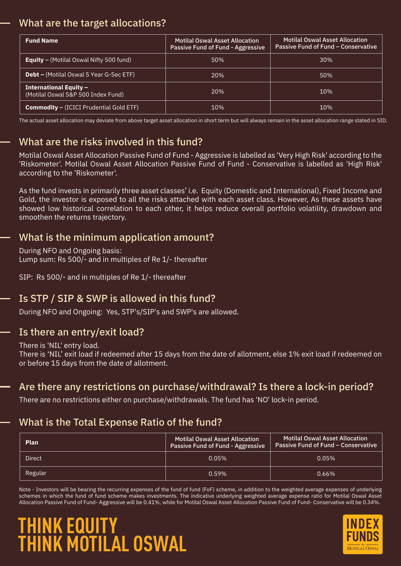## What are the target allocations?

| <b>Fund Name</b>                                                    | <b>Motilal Oswal Asset Allocation</b><br>Passive Fund of Fund - Aggressive | <b>Motilal Oswal Asset Allocation</b><br>Passive Fund of Fund – Conservative |
|---------------------------------------------------------------------|----------------------------------------------------------------------------|------------------------------------------------------------------------------|
| <b>Equity</b> - (Motilal Oswal Nifty 500 fund)                      | 50%                                                                        | 30%                                                                          |
| <b>Debt –</b> (Motilal Oswal 5 Year G-Sec ETF)                      | 20%                                                                        | 50%                                                                          |
| <b>International Equity -</b><br>(Motilal Oswal S&P 500 Index Fund) | 20%                                                                        | 10%                                                                          |
| <b>Commodity - (ICICI Prudential Gold ETF)</b>                      | 10%                                                                        | 10%                                                                          |

The actual asset allocation may deviate from above target asset allocation in short term but will always remain in the asset allocation range stated in SID.

# What are the risks involved in this fund?

Motilal Oswal Asset Allocation Passive Fund of Fund - Aggressive is labelled as 'Very High Risk' according to the 'Riskometer'. Motilal Oswal Asset Allocation Passive Fund of Fund - Conservative is labelled as 'High Risk' according to the 'Riskometer'.

As the fund invests in primarily three asset classes' i.e. Equity (Domestic and International), Fixed Income and Gold, the investor is exposed to all the risks attached with each asset class. However, As these assets have showed low historical correlation to each other, it helps reduce overall portfolio volatility, drawdown and smoothen the returns trajectory.

## What is the minimum application amount?

During NFO and Ongoing basis: Lump sum: Rs 500/- and in multiples of Re 1/- thereafter

SIP: Rs 500/- and in multiples of Re 1/- thereafter

# Is STP / SIP & SWP is allowed in this fund?

During NFO and Ongoing: Yes, STP's/SIP's and SWP's are allowed.

#### Is there an entry/exit load?

There is 'NIL' entry load.

There is 'NIL' exit load if redeemed after 15 days from the date of allotment, else 1% exit load if redeemed on or before 15 days from the date of allotment.

## Are there any restrictions on purchase/withdrawal? Is there a lock-in period?

There are no restrictions either on purchase/withdrawals. The fund has 'NO' lock-in period.

## What is the Total Expense Ratio of the fund?

| <b>Plan</b> | <b>Motilal Oswal Asset Allocation</b><br>Passive Fund of Fund - Aggressive | Motilal Oswal Asset Allocation<br>Passive Fund of Fund – Conservative |
|-------------|----------------------------------------------------------------------------|-----------------------------------------------------------------------|
| Direct      | 0.05%                                                                      | $0.05\%$                                                              |
| Regular     | 0.59%                                                                      | 0.66%                                                                 |

Note - Investors will be bearing the recurring expenses of the fund of fund (FoF) scheme, in addition to the weighted average expenses of underlying schemes in which the fund of fund scheme makes investments. The indicative underlying weighted average expense ratio for Motilal Oswal Asset Allocation Passive Fund of Fund- Aggressive will be 0.41%, while for Motilal Oswal Asset Allocation Passive Fund of Fund- Conservative will be 0.34%.